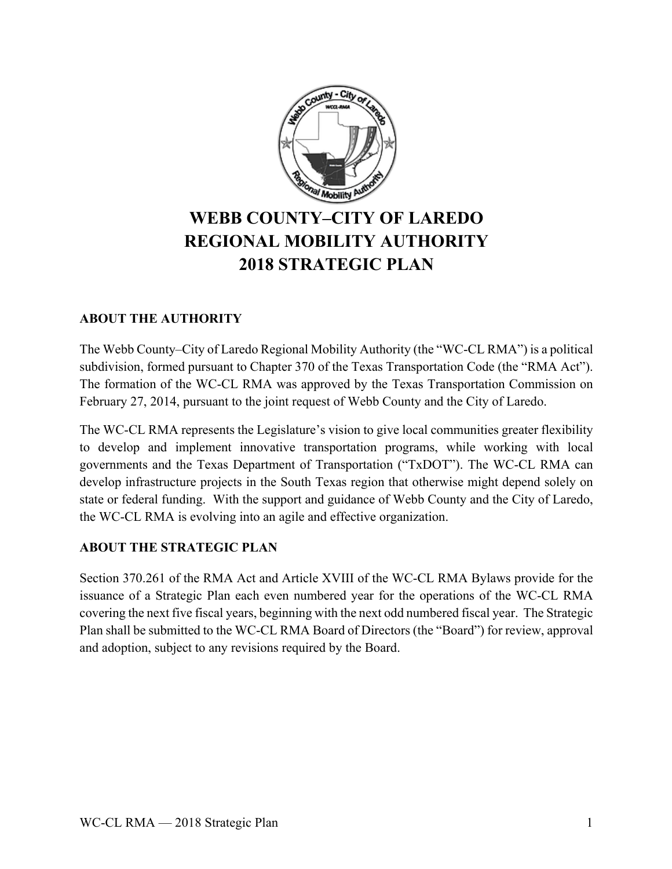

# **WEBB COUNTY–CITY OF LAREDO REGIONAL MOBILITY AUTHORITY 2018 STRATEGIC PLAN**

# **ABOUT THE AUTHORITY**

The Webb County–City of Laredo Regional Mobility Authority (the "WC-CL RMA") is a political subdivision, formed pursuant to Chapter 370 of the Texas Transportation Code (the "RMA Act"). The formation of the WC-CL RMA was approved by the Texas Transportation Commission on February 27, 2014, pursuant to the joint request of Webb County and the City of Laredo.

The WC-CL RMA represents the Legislature's vision to give local communities greater flexibility to develop and implement innovative transportation programs, while working with local governments and the Texas Department of Transportation ("TxDOT"). The WC-CL RMA can develop infrastructure projects in the South Texas region that otherwise might depend solely on state or federal funding. With the support and guidance of Webb County and the City of Laredo, the WC-CL RMA is evolving into an agile and effective organization.

## **ABOUT THE STRATEGIC PLAN**

Section 370.261 of the RMA Act and Article XVIII of the WC-CL RMA Bylaws provide for the issuance of a Strategic Plan each even numbered year for the operations of the WC-CL RMA covering the next five fiscal years, beginning with the next odd numbered fiscal year. The Strategic Plan shall be submitted to the WC-CL RMA Board of Directors (the "Board") for review, approval and adoption, subject to any revisions required by the Board.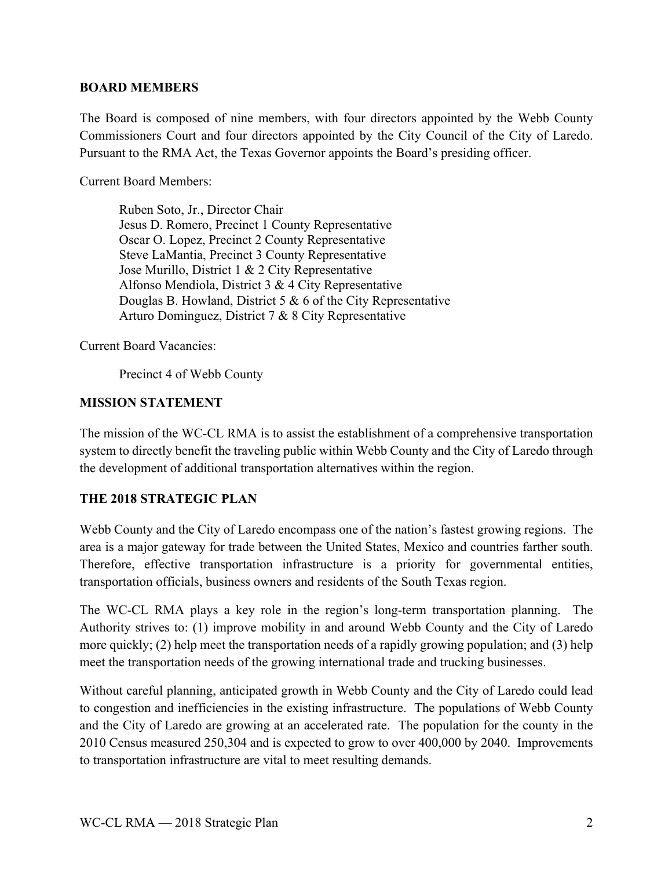#### **BOARD MEMBERS**

The Board is composed of nine members, with four directors appointed by the Webb County Commissioners Court and four directors appointed by the City Council of the City of Laredo. Pursuant to the RMA Act, the Texas Governor appoints the Board's presiding officer.

Current Board Members:

Ruben Soto, Jr., Director Chair Jesus D. Romero, Precinct 1 County Representative Oscar O. Lopez, Precinct 2 County Representative Steve LaMantia, Precinct 3 County Representative Jose Murillo, District 1 & 2 City Representative Alfonso Mendiola, District 3 & 4 City Representative Douglas B. Howland, District 5 & 6 of the City Representative Arturo Dominguez, District 7 & 8 City Representative

Current Board Vacancies:

Precinct 4 of Webb County

#### **MISSION STATEMENT**

The mission of the WC-CL RMA is to assist the establishment of a comprehensive transportation system to directly benefit the traveling public within Webb County and the City of Laredo through the development of additional transportation alternatives within the region.

## **THE 2018 STRATEGIC PLAN**

Webb County and the City of Laredo encompass one of the nation's fastest growing regions. The area is a major gateway for trade between the United States, Mexico and countries farther south. Therefore, effective transportation infrastructure is a priority for governmental entities, transportation officials, business owners and residents of the South Texas region.

The WC-CL RMA plays a key role in the region's long-term transportation planning. The Authority strives to: (1) improve mobility in and around Webb County and the City of Laredo more quickly; (2) help meet the transportation needs of a rapidly growing population; and (3) help meet the transportation needs of the growing international trade and trucking businesses.

Without careful planning, anticipated growth in Webb County and the City of Laredo could lead to congestion and inefficiencies in the existing infrastructure. The populations of Webb County and the City of Laredo are growing at an accelerated rate. The population for the county in the 2010 Census measured 250,304 and is expected to grow to over 400,000 by 2040. Improvements to transportation infrastructure are vital to meet resulting demands.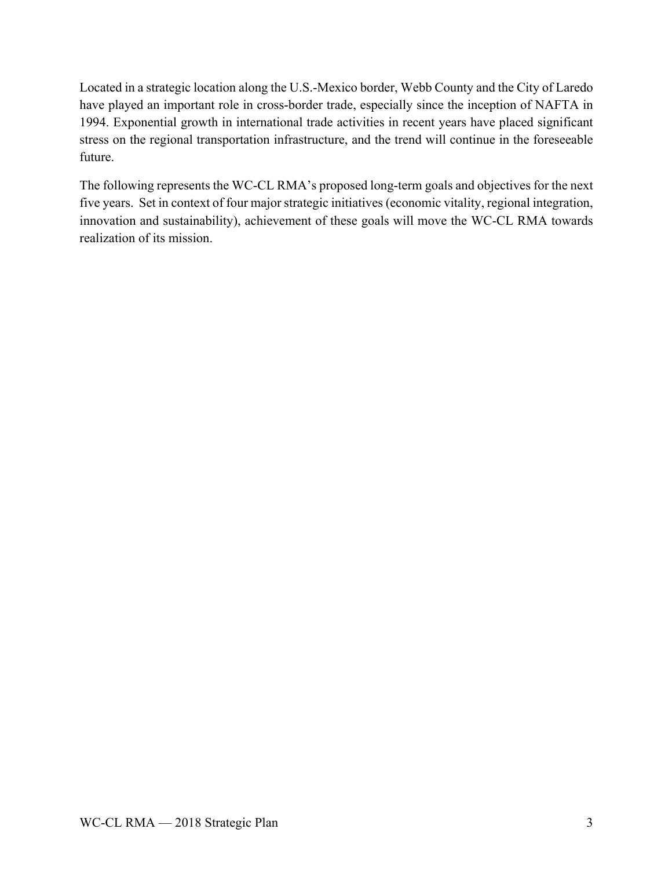Located in a strategic location along the U.S.-Mexico border, Webb County and the City of Laredo have played an important role in cross-border trade, especially since the inception of NAFTA in 1994. Exponential growth in international trade activities in recent years have placed significant stress on the regional transportation infrastructure, and the trend will continue in the foreseeable future.

The following represents the WC-CL RMA's proposed long-term goals and objectives for the next five years. Set in context of four major strategic initiatives (economic vitality, regional integration, innovation and sustainability), achievement of these goals will move the WC-CL RMA towards realization of its mission.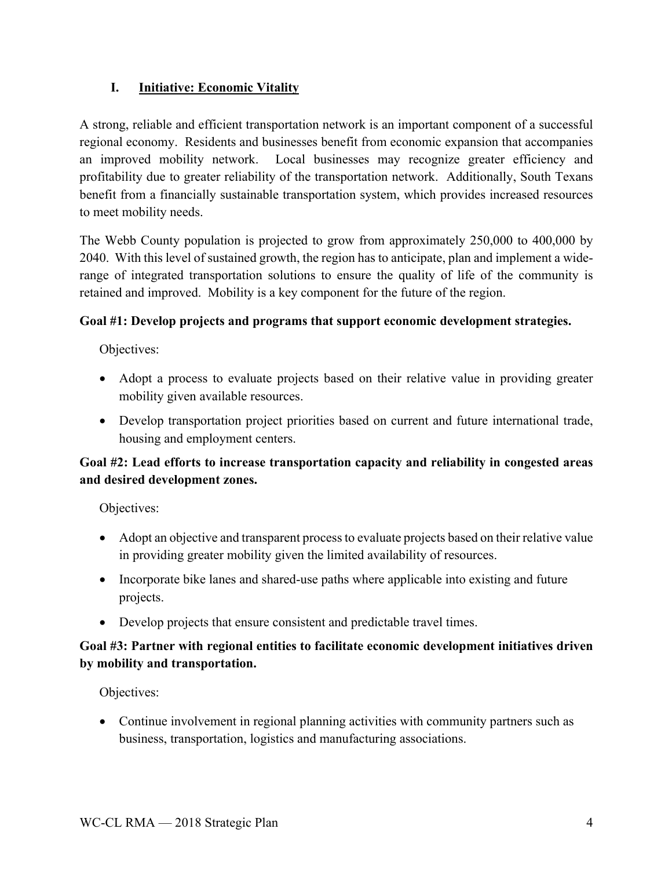# **I. Initiative: Economic Vitality**

A strong, reliable and efficient transportation network is an important component of a successful regional economy. Residents and businesses benefit from economic expansion that accompanies an improved mobility network. Local businesses may recognize greater efficiency and profitability due to greater reliability of the transportation network. Additionally, South Texans benefit from a financially sustainable transportation system, which provides increased resources to meet mobility needs.

The Webb County population is projected to grow from approximately 250,000 to 400,000 by 2040. With this level of sustained growth, the region has to anticipate, plan and implement a widerange of integrated transportation solutions to ensure the quality of life of the community is retained and improved. Mobility is a key component for the future of the region.

## **Goal #1: Develop projects and programs that support economic development strategies.**

Objectives:

- Adopt a process to evaluate projects based on their relative value in providing greater mobility given available resources.
- Develop transportation project priorities based on current and future international trade, housing and employment centers.

# **Goal #2: Lead efforts to increase transportation capacity and reliability in congested areas and desired development zones.**

Objectives:

- Adopt an objective and transparent process to evaluate projects based on their relative value in providing greater mobility given the limited availability of resources.
- Incorporate bike lanes and shared-use paths where applicable into existing and future projects.
- Develop projects that ensure consistent and predictable travel times.

# **Goal #3: Partner with regional entities to facilitate economic development initiatives driven by mobility and transportation.**

Objectives:

• Continue involvement in regional planning activities with community partners such as business, transportation, logistics and manufacturing associations.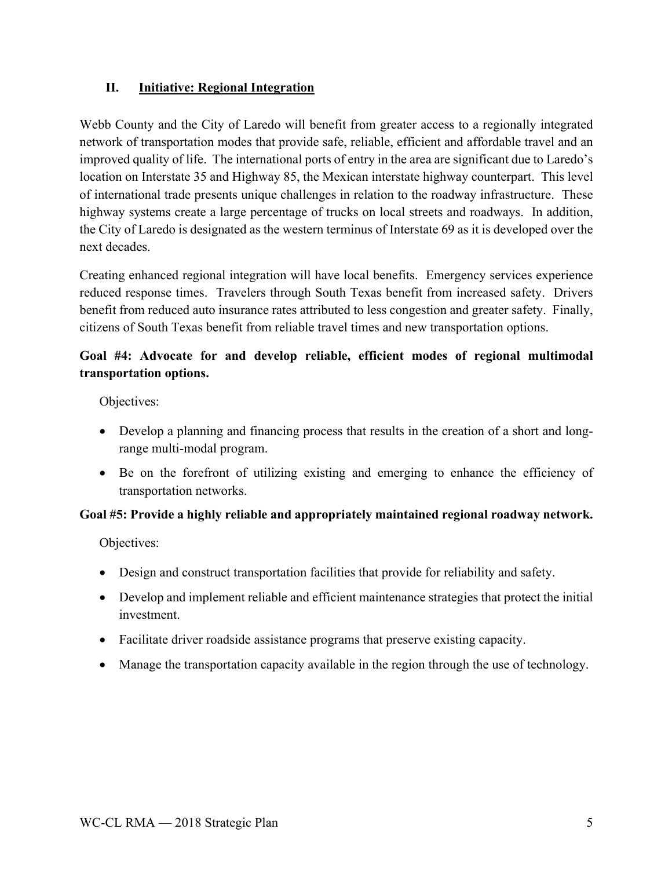## **II. Initiative: Regional Integration**

Webb County and the City of Laredo will benefit from greater access to a regionally integrated network of transportation modes that provide safe, reliable, efficient and affordable travel and an improved quality of life. The international ports of entry in the area are significant due to Laredo's location on Interstate 35 and Highway 85, the Mexican interstate highway counterpart. This level of international trade presents unique challenges in relation to the roadway infrastructure. These highway systems create a large percentage of trucks on local streets and roadways. In addition, the City of Laredo is designated as the western terminus of Interstate 69 as it is developed over the next decades.

Creating enhanced regional integration will have local benefits. Emergency services experience reduced response times. Travelers through South Texas benefit from increased safety. Drivers benefit from reduced auto insurance rates attributed to less congestion and greater safety. Finally, citizens of South Texas benefit from reliable travel times and new transportation options.

# **Goal #4: Advocate for and develop reliable, efficient modes of regional multimodal transportation options.**

Objectives:

- Develop a planning and financing process that results in the creation of a short and longrange multi-modal program.
- Be on the forefront of utilizing existing and emerging to enhance the efficiency of transportation networks.

## **Goal #5: Provide a highly reliable and appropriately maintained regional roadway network.**

Objectives:

- Design and construct transportation facilities that provide for reliability and safety.
- Develop and implement reliable and efficient maintenance strategies that protect the initial investment.
- Facilitate driver roadside assistance programs that preserve existing capacity.
- Manage the transportation capacity available in the region through the use of technology.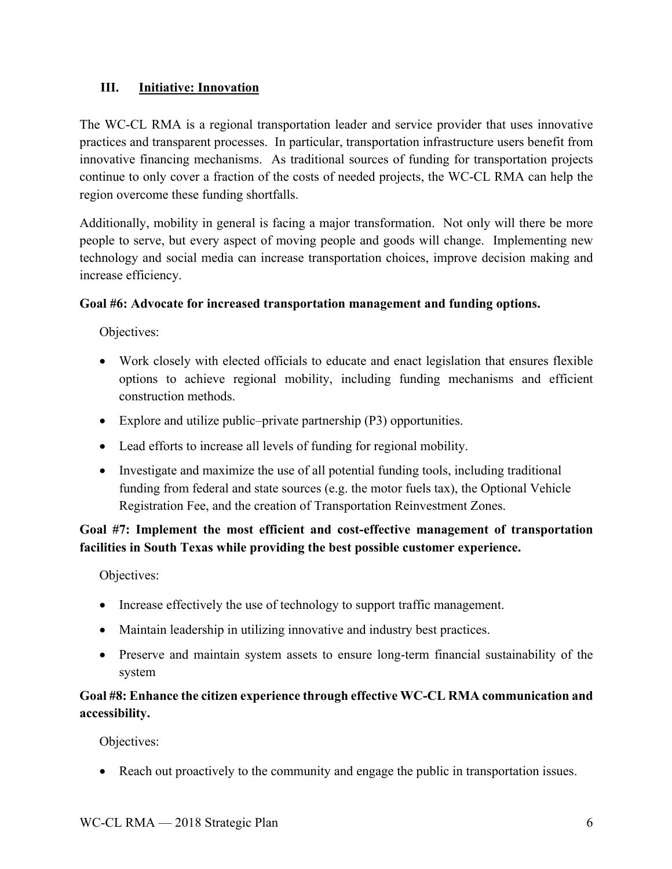## **III. Initiative: Innovation**

The WC-CL RMA is a regional transportation leader and service provider that uses innovative practices and transparent processes. In particular, transportation infrastructure users benefit from innovative financing mechanisms. As traditional sources of funding for transportation projects continue to only cover a fraction of the costs of needed projects, the WC-CL RMA can help the region overcome these funding shortfalls.

Additionally, mobility in general is facing a major transformation. Not only will there be more people to serve, but every aspect of moving people and goods will change. Implementing new technology and social media can increase transportation choices, improve decision making and increase efficiency.

## **Goal #6: Advocate for increased transportation management and funding options.**

Objectives:

- Work closely with elected officials to educate and enact legislation that ensures flexible options to achieve regional mobility, including funding mechanisms and efficient construction methods.
- Explore and utilize public–private partnership (P3) opportunities.
- Lead efforts to increase all levels of funding for regional mobility.
- Investigate and maximize the use of all potential funding tools, including traditional funding from federal and state sources (e.g. the motor fuels tax), the Optional Vehicle Registration Fee, and the creation of Transportation Reinvestment Zones.

**Goal #7: Implement the most efficient and cost-effective management of transportation facilities in South Texas while providing the best possible customer experience.** 

Objectives:

- Increase effectively the use of technology to support traffic management.
- Maintain leadership in utilizing innovative and industry best practices.
- Preserve and maintain system assets to ensure long-term financial sustainability of the system

# **Goal #8: Enhance the citizen experience through effective WC-CL RMA communication and accessibility.**

Objectives:

• Reach out proactively to the community and engage the public in transportation issues.